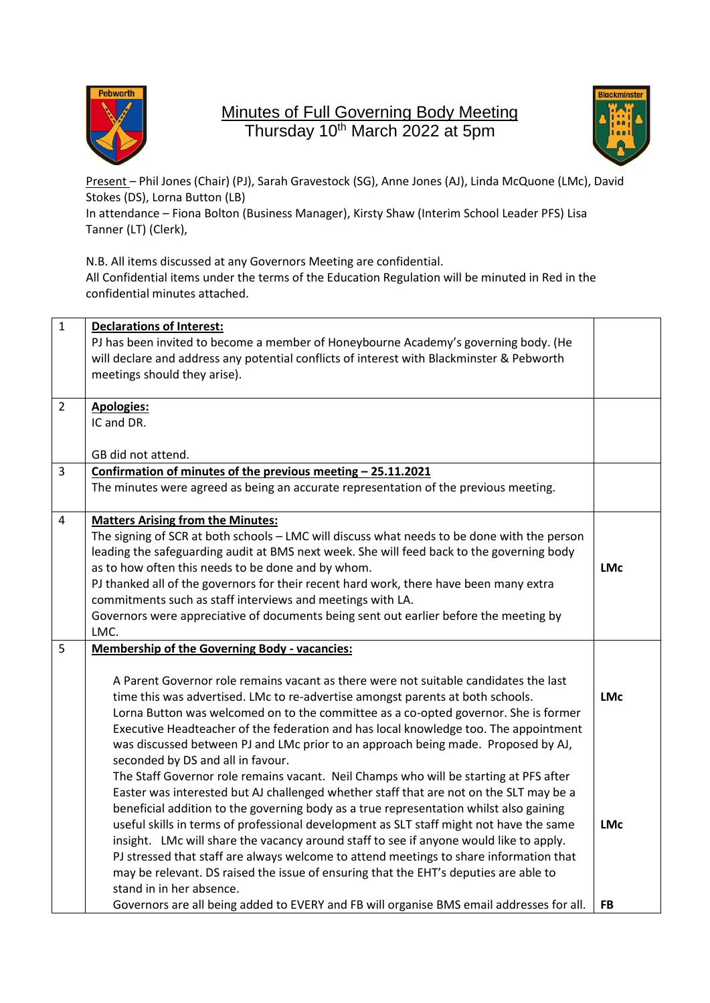

## Minutes of Full Governing Body Meeting Thursday 10<sup>th</sup> March 2022 at 5pm



Present – Phil Jones (Chair) (PJ), Sarah Gravestock (SG), Anne Jones (AJ), Linda McQuone (LMc), David Stokes (DS), Lorna Button (LB)

In attendance – Fiona Bolton (Business Manager), Kirsty Shaw (Interim School Leader PFS) Lisa Tanner (LT) (Clerk),

N.B. All items discussed at any Governors Meeting are confidential. All Confidential items under the terms of the Education Regulation will be minuted in Red in the confidential minutes attached.

| $\mathbf{1}$   | <b>Declarations of Interest:</b>                                                            |            |
|----------------|---------------------------------------------------------------------------------------------|------------|
|                | PJ has been invited to become a member of Honeybourne Academy's governing body. (He         |            |
|                | will declare and address any potential conflicts of interest with Blackminster & Pebworth   |            |
|                | meetings should they arise).                                                                |            |
|                |                                                                                             |            |
| $\overline{2}$ | <b>Apologies:</b>                                                                           |            |
|                | IC and DR.                                                                                  |            |
|                | GB did not attend.                                                                          |            |
| $\overline{3}$ | Confirmation of minutes of the previous meeting - 25.11.2021                                |            |
|                | The minutes were agreed as being an accurate representation of the previous meeting.        |            |
|                |                                                                                             |            |
| 4              | <b>Matters Arising from the Minutes:</b>                                                    |            |
|                | The signing of SCR at both schools - LMC will discuss what needs to be done with the person |            |
|                | leading the safeguarding audit at BMS next week. She will feed back to the governing body   |            |
|                | as to how often this needs to be done and by whom.                                          | <b>LMc</b> |
|                | PJ thanked all of the governors for their recent hard work, there have been many extra      |            |
|                | commitments such as staff interviews and meetings with LA.                                  |            |
|                | Governors were appreciative of documents being sent out earlier before the meeting by       |            |
|                | LMC.                                                                                        |            |
| 5              | <b>Membership of the Governing Body - vacancies:</b>                                        |            |
|                | A Parent Governor role remains vacant as there were not suitable candidates the last        |            |
|                | time this was advertised. LMc to re-advertise amongst parents at both schools.              | <b>LMc</b> |
|                | Lorna Button was welcomed on to the committee as a co-opted governor. She is former         |            |
|                | Executive Headteacher of the federation and has local knowledge too. The appointment        |            |
|                | was discussed between PJ and LMc prior to an approach being made. Proposed by AJ,           |            |
|                | seconded by DS and all in favour.                                                           |            |
|                | The Staff Governor role remains vacant. Neil Champs who will be starting at PFS after       |            |
|                | Easter was interested but AJ challenged whether staff that are not on the SLT may be a      |            |
|                | beneficial addition to the governing body as a true representation whilst also gaining      |            |
|                | useful skills in terms of professional development as SLT staff might not have the same     | <b>LMc</b> |
|                | insight. LMc will share the vacancy around staff to see if anyone would like to apply.      |            |
|                | PJ stressed that staff are always welcome to attend meetings to share information that      |            |
|                | may be relevant. DS raised the issue of ensuring that the EHT's deputies are able to        |            |
|                | stand in in her absence.                                                                    |            |
|                | Governors are all being added to EVERY and FB will organise BMS email addresses for all.    | FB         |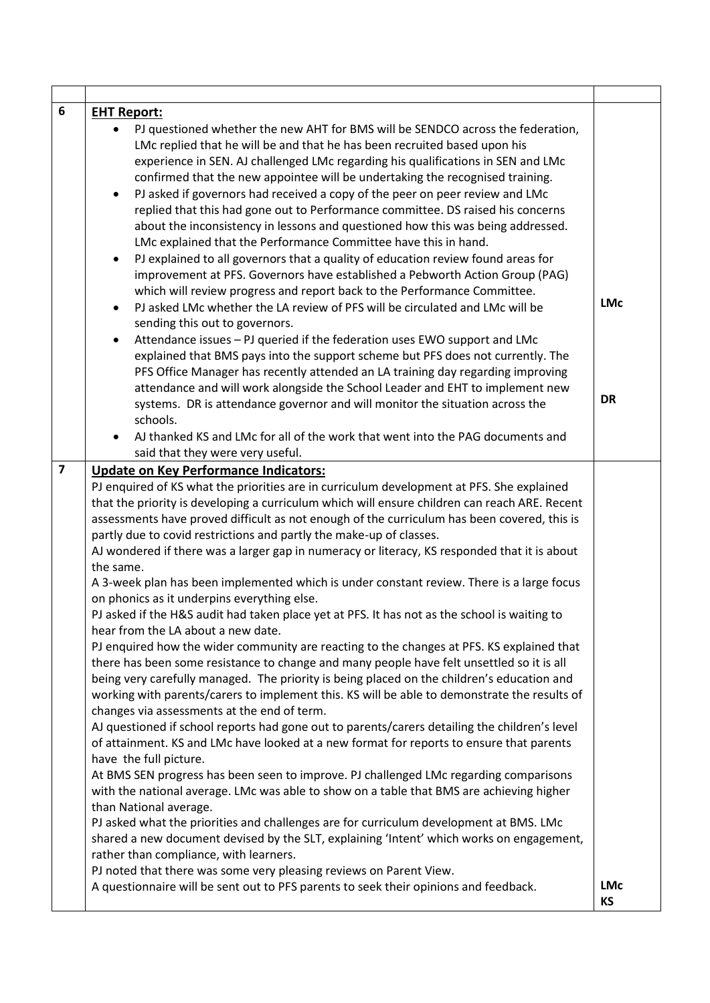| 6                       | <b>EHT Report:</b>                                                                                                                                                                         |            |  |
|-------------------------|--------------------------------------------------------------------------------------------------------------------------------------------------------------------------------------------|------------|--|
|                         | PJ questioned whether the new AHT for BMS will be SENDCO across the federation,                                                                                                            |            |  |
|                         | LMc replied that he will be and that he has been recruited based upon his                                                                                                                  |            |  |
|                         | experience in SEN. AJ challenged LMc regarding his qualifications in SEN and LMc                                                                                                           |            |  |
|                         | confirmed that the new appointee will be undertaking the recognised training.                                                                                                              |            |  |
|                         | PJ asked if governors had received a copy of the peer on peer review and LMc<br>$\bullet$                                                                                                  |            |  |
|                         | replied that this had gone out to Performance committee. DS raised his concerns                                                                                                            |            |  |
|                         | about the inconsistency in lessons and questioned how this was being addressed.                                                                                                            |            |  |
|                         | LMc explained that the Performance Committee have this in hand.                                                                                                                            |            |  |
|                         | PJ explained to all governors that a quality of education review found areas for<br>٠                                                                                                      |            |  |
|                         | improvement at PFS. Governors have established a Pebworth Action Group (PAG)                                                                                                               |            |  |
|                         | which will review progress and report back to the Performance Committee.                                                                                                                   | <b>LMc</b> |  |
|                         | PJ asked LMc whether the LA review of PFS will be circulated and LMc will be<br>$\bullet$<br>sending this out to governors.                                                                |            |  |
|                         | Attendance issues - PJ queried if the federation uses EWO support and LMc<br>$\bullet$                                                                                                     |            |  |
|                         | explained that BMS pays into the support scheme but PFS does not currently. The                                                                                                            |            |  |
|                         | PFS Office Manager has recently attended an LA training day regarding improving                                                                                                            |            |  |
|                         | attendance and will work alongside the School Leader and EHT to implement new                                                                                                              | <b>DR</b>  |  |
|                         | systems. DR is attendance governor and will monitor the situation across the                                                                                                               |            |  |
|                         | schools.                                                                                                                                                                                   |            |  |
|                         | AJ thanked KS and LMc for all of the work that went into the PAG documents and<br>said that they were very useful.                                                                         |            |  |
| $\overline{\mathbf{z}}$ |                                                                                                                                                                                            |            |  |
|                         | <b>Update on Key Performance Indicators:</b>                                                                                                                                               |            |  |
|                         | PJ enquired of KS what the priorities are in curriculum development at PFS. She explained<br>that the priority is developing a curriculum which will ensure children can reach ARE. Recent |            |  |
|                         | assessments have proved difficult as not enough of the curriculum has been covered, this is                                                                                                |            |  |
|                         | partly due to covid restrictions and partly the make-up of classes.                                                                                                                        |            |  |
|                         | AJ wondered if there was a larger gap in numeracy or literacy, KS responded that it is about                                                                                               |            |  |
|                         | the same.                                                                                                                                                                                  |            |  |
|                         | A 3-week plan has been implemented which is under constant review. There is a large focus<br>on phonics as it underpins everything else.                                                   |            |  |
|                         | PJ asked if the H&S audit had taken place yet at PFS. It has not as the school is waiting to                                                                                               |            |  |
|                         | hear from the LA about a new date.                                                                                                                                                         |            |  |
|                         | PJ enquired how the wider community are reacting to the changes at PFS. KS explained that                                                                                                  |            |  |
|                         | there has been some resistance to change and many people have felt unsettled so it is all                                                                                                  |            |  |
|                         | being very carefully managed. The priority is being placed on the children's education and                                                                                                 |            |  |
|                         | working with parents/carers to implement this. KS will be able to demonstrate the results of<br>changes via assessments at the end of term.                                                |            |  |
|                         | AJ questioned if school reports had gone out to parents/carers detailing the children's level                                                                                              |            |  |
|                         | of attainment. KS and LMc have looked at a new format for reports to ensure that parents                                                                                                   |            |  |
|                         | have the full picture.                                                                                                                                                                     |            |  |
|                         | At BMS SEN progress has been seen to improve. PJ challenged LMc regarding comparisons                                                                                                      |            |  |
|                         | with the national average. LMc was able to show on a table that BMS are achieving higher                                                                                                   |            |  |
|                         | than National average.                                                                                                                                                                     |            |  |
|                         | PJ asked what the priorities and challenges are for curriculum development at BMS. LMc                                                                                                     |            |  |
|                         | shared a new document devised by the SLT, explaining 'Intent' which works on engagement,                                                                                                   |            |  |
|                         | rather than compliance, with learners.                                                                                                                                                     |            |  |
|                         | PJ noted that there was some very pleasing reviews on Parent View.                                                                                                                         |            |  |
|                         | A questionnaire will be sent out to PFS parents to seek their opinions and feedback.                                                                                                       | <b>LMc</b> |  |
|                         |                                                                                                                                                                                            | KS         |  |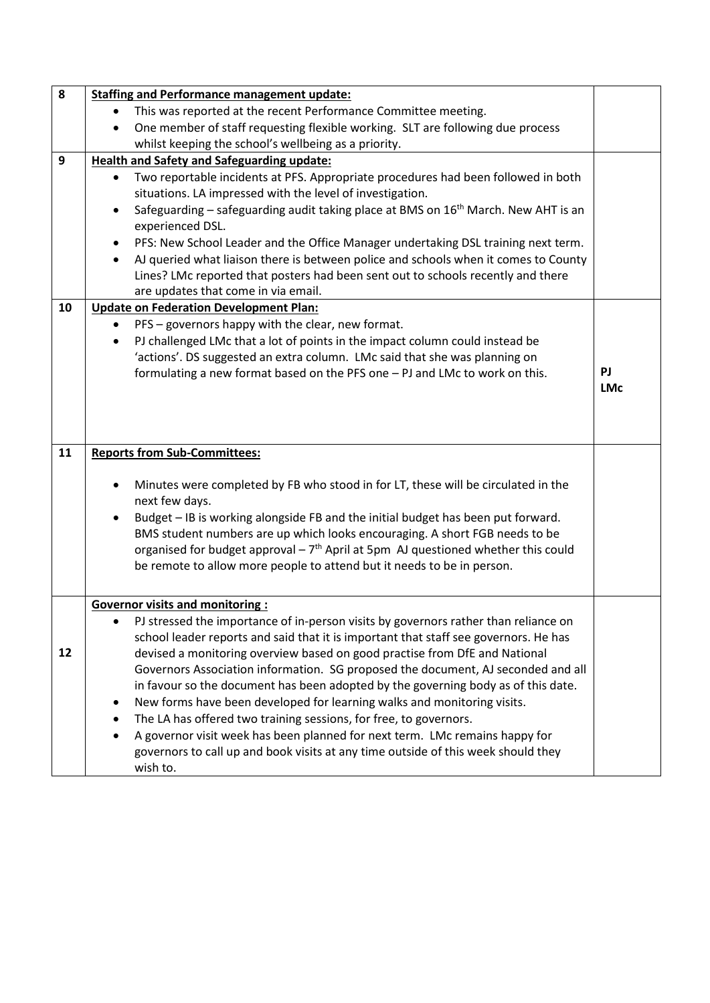| 8  | <b>Staffing and Performance management update:</b>                                                                                                  |            |  |  |
|----|-----------------------------------------------------------------------------------------------------------------------------------------------------|------------|--|--|
|    | This was reported at the recent Performance Committee meeting.<br>$\bullet$                                                                         |            |  |  |
|    | One member of staff requesting flexible working. SLT are following due process<br>$\bullet$                                                         |            |  |  |
|    | whilst keeping the school's wellbeing as a priority.                                                                                                |            |  |  |
| 9  | <b>Health and Safety and Safeguarding update:</b>                                                                                                   |            |  |  |
|    | Two reportable incidents at PFS. Appropriate procedures had been followed in both<br>٠<br>situations. LA impressed with the level of investigation. |            |  |  |
|    | Safeguarding – safeguarding audit taking place at BMS on 16 <sup>th</sup> March. New AHT is an<br>$\bullet$                                         |            |  |  |
|    | experienced DSL.                                                                                                                                    |            |  |  |
|    | PFS: New School Leader and the Office Manager undertaking DSL training next term.                                                                   |            |  |  |
|    | AJ queried what liaison there is between police and schools when it comes to County<br>٠                                                            |            |  |  |
|    | Lines? LMc reported that posters had been sent out to schools recently and there                                                                    |            |  |  |
|    | are updates that come in via email.                                                                                                                 |            |  |  |
| 10 | <b>Update on Federation Development Plan:</b>                                                                                                       |            |  |  |
|    | PFS - governors happy with the clear, new format.<br>$\bullet$                                                                                      |            |  |  |
|    | PJ challenged LMc that a lot of points in the impact column could instead be<br>٠                                                                   |            |  |  |
|    | 'actions'. DS suggested an extra column. LMc said that she was planning on                                                                          |            |  |  |
|    | formulating a new format based on the PFS one - PJ and LMc to work on this.                                                                         | PJ         |  |  |
|    |                                                                                                                                                     | <b>LMc</b> |  |  |
|    |                                                                                                                                                     |            |  |  |
|    |                                                                                                                                                     |            |  |  |
| 11 | <b>Reports from Sub-Committees:</b>                                                                                                                 |            |  |  |
|    |                                                                                                                                                     |            |  |  |
|    | Minutes were completed by FB who stood in for LT, these will be circulated in the                                                                   |            |  |  |
|    | next few days.                                                                                                                                      |            |  |  |
|    | Budget - IB is working alongside FB and the initial budget has been put forward.<br>$\bullet$                                                       |            |  |  |
|    | BMS student numbers are up which looks encouraging. A short FGB needs to be                                                                         |            |  |  |
|    | organised for budget approval $-7th$ April at 5pm AJ questioned whether this could                                                                  |            |  |  |
|    | be remote to allow more people to attend but it needs to be in person.                                                                              |            |  |  |
|    |                                                                                                                                                     |            |  |  |
|    | <b>Governor visits and monitoring:</b>                                                                                                              |            |  |  |
|    | PJ stressed the importance of in-person visits by governors rather than reliance on                                                                 |            |  |  |
|    | school leader reports and said that it is important that staff see governors. He has                                                                |            |  |  |
| 12 | devised a monitoring overview based on good practise from DfE and National                                                                          |            |  |  |
|    | Governors Association information. SG proposed the document, AJ seconded and all                                                                    |            |  |  |
|    | in favour so the document has been adopted by the governing body as of this date.                                                                   |            |  |  |
|    | New forms have been developed for learning walks and monitoring visits.                                                                             |            |  |  |
|    | The LA has offered two training sessions, for free, to governors.                                                                                   |            |  |  |
|    | A governor visit week has been planned for next term. LMc remains happy for                                                                         |            |  |  |
|    | governors to call up and book visits at any time outside of this week should they<br>wish to.                                                       |            |  |  |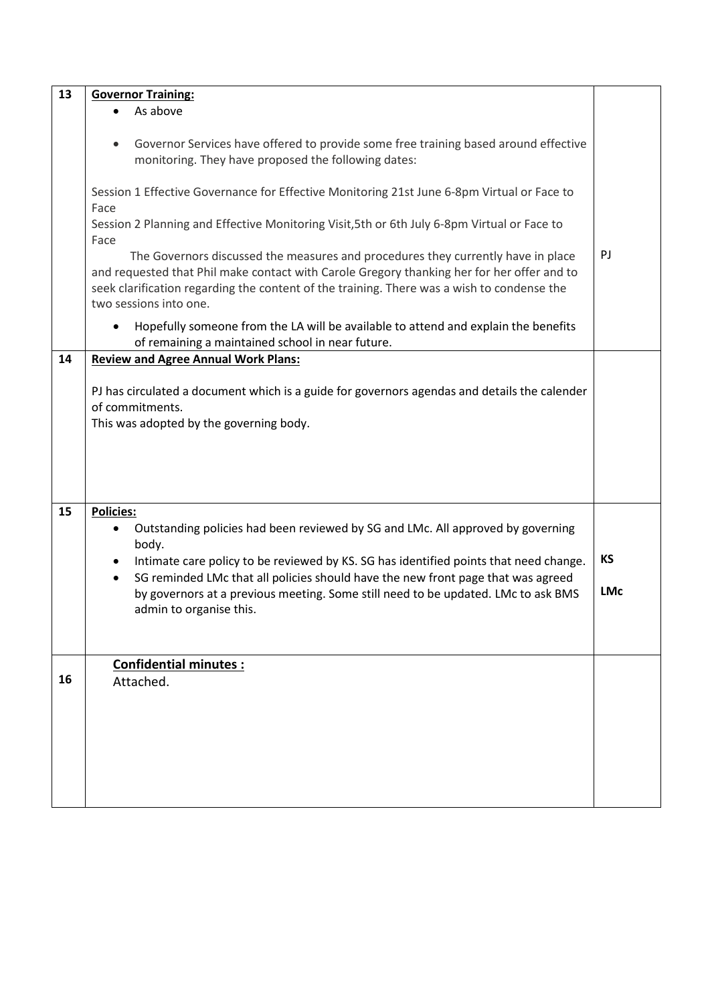| 13 | <b>Governor Training:</b>                                                                                                                                                                                                                                                                              |            |  |
|----|--------------------------------------------------------------------------------------------------------------------------------------------------------------------------------------------------------------------------------------------------------------------------------------------------------|------------|--|
|    | As above                                                                                                                                                                                                                                                                                               |            |  |
|    | Governor Services have offered to provide some free training based around effective<br>monitoring. They have proposed the following dates:                                                                                                                                                             |            |  |
|    | Session 1 Effective Governance for Effective Monitoring 21st June 6-8pm Virtual or Face to<br>Face                                                                                                                                                                                                     |            |  |
|    | Session 2 Planning and Effective Monitoring Visit, 5th or 6th July 6-8pm Virtual or Face to<br>Face                                                                                                                                                                                                    |            |  |
|    | The Governors discussed the measures and procedures they currently have in place<br>and requested that Phil make contact with Carole Gregory thanking her for her offer and to<br>seek clarification regarding the content of the training. There was a wish to condense the<br>two sessions into one. | PJ         |  |
|    | Hopefully someone from the LA will be available to attend and explain the benefits<br>of remaining a maintained school in near future.                                                                                                                                                                 |            |  |
| 14 | <b>Review and Agree Annual Work Plans:</b>                                                                                                                                                                                                                                                             |            |  |
|    | PJ has circulated a document which is a guide for governors agendas and details the calender<br>of commitments.<br>This was adopted by the governing body.                                                                                                                                             |            |  |
| 15 | <b>Policies:</b><br>Outstanding policies had been reviewed by SG and LMc. All approved by governing                                                                                                                                                                                                    |            |  |
|    | body.                                                                                                                                                                                                                                                                                                  | <b>KS</b>  |  |
|    | Intimate care policy to be reviewed by KS. SG has identified points that need change.<br>$\bullet$<br>SG reminded LMc that all policies should have the new front page that was agreed<br>$\bullet$                                                                                                    |            |  |
|    | by governors at a previous meeting. Some still need to be updated. LMc to ask BMS<br>admin to organise this.                                                                                                                                                                                           | <b>LMc</b> |  |
|    |                                                                                                                                                                                                                                                                                                        |            |  |
| 16 | <b>Confidential minutes:</b><br>Attached.                                                                                                                                                                                                                                                              |            |  |
|    |                                                                                                                                                                                                                                                                                                        |            |  |
|    |                                                                                                                                                                                                                                                                                                        |            |  |
|    |                                                                                                                                                                                                                                                                                                        |            |  |
|    |                                                                                                                                                                                                                                                                                                        |            |  |
|    |                                                                                                                                                                                                                                                                                                        |            |  |